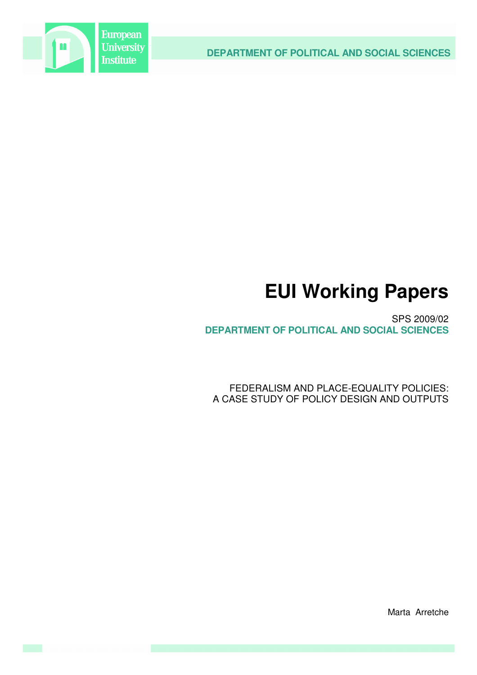



# **EUI Working Papers**

SPS 2009/02 **DEPARTMENT OF POLITICAL AND SOCIAL SCIENCES**

FEDERALISM AND PLACE-EQUALITY POLICIES: A CASE STUDY OF POLICY DESIGN AND OUTPUTS

Marta Arretche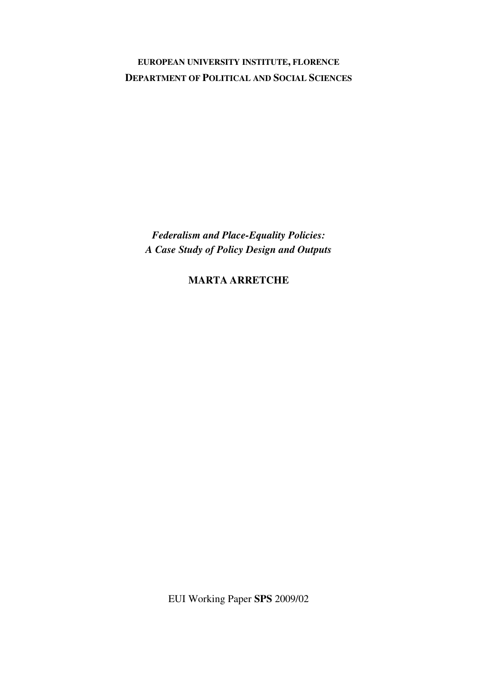**EUROPEAN UNIVERSITY INSTITUTE, FLORENCE DEPARTMENT OF POLITICAL AND SOCIAL SCIENCES**

*Federalism and Place-Equality Policies: A Case Study of Policy Design and Outputs*

**MARTA ARRETCHE**

EUI Working Paper **SPS** 2009/02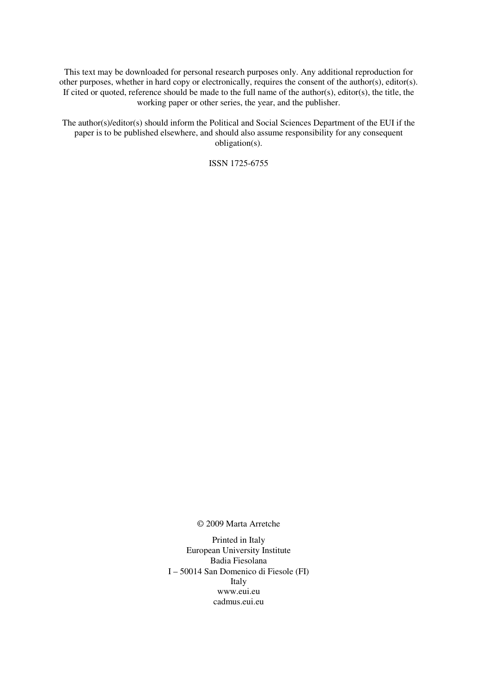This text may be downloaded for personal research purposes only. Any additional reproduction for other purposes, whether in hard copy or electronically, requires the consent of the author(s), editor(s). If cited or quoted, reference should be made to the full name of the author(s), editor(s), the title, the working paper or other series, the year, and the publisher.

The author(s)/editor(s) should inform the Political and Social Sciences Department of the EUI if the paper is to be published elsewhere, and should also assume responsibility for any consequent obligation(s).

ISSN 1725-6755

© 2009 Marta Arretche

Printed in Italy European University Institute Badia Fiesolana I – 50014 San Domenico di Fiesole (FI) Italy www.eui.eu cadmus.eui.eu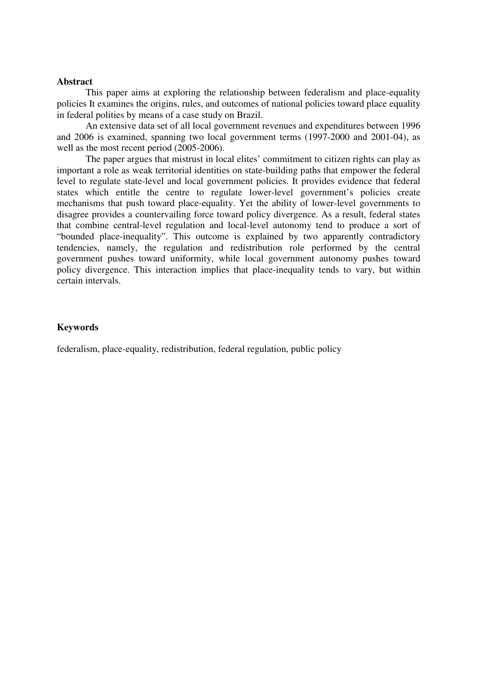# **Abstract**

This paper aims at exploring the relationship between federalism and place-equality policies It examines the origins, rules, and outcomes of national policies toward place equality in federal polities by means of a case study on Brazil.

An extensive data set of all local government revenues and expenditures between 1996 and 2006 is examined, spanning two local government terms (1997-2000 and 2001-04), as well as the most recent period (2005-2006).

The paper argues that mistrust in local elites' commitment to citizen rights can play as important a role as weak territorial identities on state-building paths that empower the federal level to regulate state-level and local government policies. It provides evidence that federal states which entitle the centre to regulate lower-level government's policies create mechanisms that push toward place-equality. Yet the ability of lower-level governments to disagree provides a countervailing force toward policy divergence. As a result, federal states that combine central-level regulation and local-level autonomy tend to produce a sort of "bounded place-inequality". This outcome is explained by two apparently contradictory tendencies, namely, the regulation and redistribution role performed by the central government pushes toward uniformity, while local government autonomy pushes toward policy divergence. This interaction implies that place-inequality tends to vary, but within certain intervals.

# **Keywords**

federalism, place-equality, redistribution, federal regulation, public policy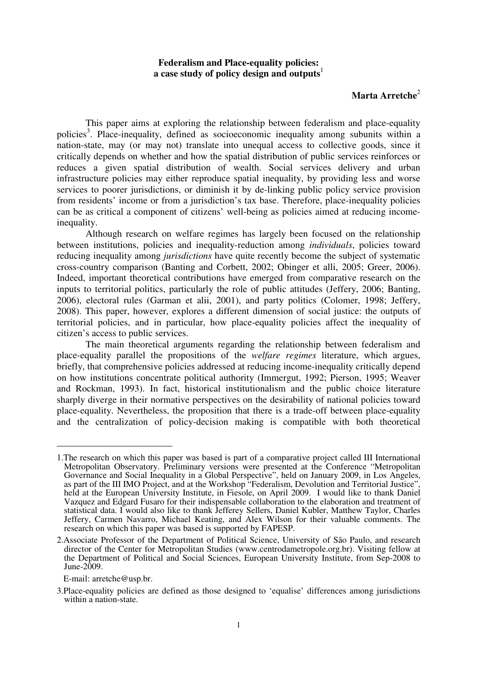# **Federalism and Place-equality policies: a case study of policy design and outputs** 1

# **Marta Arretche** 2

This paper aims at exploring the relationship between federalism and place-equality policies<sup>3</sup>. Place-inequality, defined as socioeconomic inequality among subunits within a nation-state, may (or may not) translate into unequal access to collective goods, since it critically depends on whether and how the spatial distribution of public services reinforces or reduces a given spatial distribution of wealth. Social services delivery and urban infrastructure policies may either reproduce spatial inequality, by providing less and worse services to poorer jurisdictions, or diminish it by de-linking public policy service provision from residents' income or from a jurisdiction's tax base. Therefore, place-inequality policies can be as critical a component of citizens' well-being as policies aimed at reducing incomeinequality.

Although research on welfare regimes has largely been focused on the relationship between institutions, policies and inequality-reduction among *individuals*, policies toward reducing inequality among *jurisdictions* have quite recently become the subject of systematic cross-country comparison (Banting and Corbett, 2002; Obinger et alli, 2005; Greer, 2006). Indeed, important theoretical contributions have emerged from comparative research on the inputs to territorial politics, particularly the role of public attitudes (Jeffery, 2006; Banting, 2006), electoral rules (Garman et alii, 2001), and party politics (Colomer, 1998; Jeffery, 2008). This paper, however, explores a different dimension of social justice: the outputs of territorial policies, and in particular, how place-equality policies affect the inequality of citizen's access to public services.

The main theoretical arguments regarding the relationship between federalism and place-equality parallel the propositions of the *welfare regimes* literature, which argues, briefly, that comprehensive policies addressed at reducing income-inequality critically depend on how institutions concentrate political authority (Immergut, 1992; Pierson, 1995; Weaver and Rockman, 1993). In fact, historical institutionalism and the public choice literature sharply diverge in their normative perspectives on the desirability of national policies toward place-equality. Nevertheless, the proposition that there is a trade-off between place-equality and the centralization of policy-decision making is compatible with both theoretical

E-mail: arretche@usp.br.

<sup>1.</sup>The research on which this paper was based is part of a comparative project called III International Metropolitan Observatory. Preliminary versions were presented at the Conference "Metropolitan Governance and Social Inequality in a Global Perspective", held on January 2009, in Los Angeles, as part of the III IMO Project, and at the Workshop "Federalism, Devolution and Territorial Justice", held at the European University Institute, in Fiesole, on April 2009. I would like to thank Daniel Vazquez and Edgard Fusaro for their indispensable collaboration to the elaboration and treatment of statistical data. I would also like to thank Jefferey Sellers, Daniel Kubler, Matthew Taylor, Charles Jeffery, Carmen Navarro, Michael Keating, and Alex Wilson for their valuable comments. The research on which this paper was based is supported by FAPESP.

<sup>2.</sup>Associate Professor of the Department of Political Science, University of São Paulo, and research director of the Center for Metropolitan Studies (www.centrodametropole.org.br). Visiting fellow at the Department of Political and Social Sciences, European University Institute, from Sep-2008 to June-2009.

<sup>3.</sup>Place-equality policies are defined as those designed to 'equalise' differences among jurisdictions within a nation-state.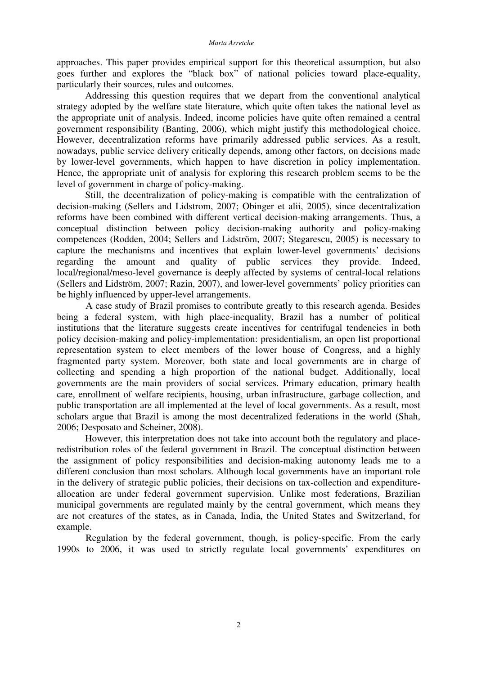approaches. This paper provides empirical support for this theoretical assumption, but also goes further and explores the "black box" of national policies toward place-equality, particularly their sources, rules and outcomes.

Addressing this question requires that we depart from the conventional analytical strategy adopted by the welfare state literature, which quite often takes the national level as the appropriate unit of analysis. Indeed, income policies have quite often remained a central government responsibility (Banting, 2006), which might justify this methodological choice. However, decentralization reforms have primarily addressed public services. As a result, nowadays, public service delivery critically depends, among other factors, on decisions made by lower-level governments, which happen to have discretion in policy implementation. Hence, the appropriate unit of analysis for exploring this research problem seems to be the level of government in charge of policy-making.

Still, the decentralization of policy-making is compatible with the centralization of decision-making (Sellers and Lidstrom, 2007; Obinger et alii, 2005), since decentralization reforms have been combined with different vertical decision-making arrangements. Thus, a conceptual distinction between policy decision-making authority and policy-making competences (Rodden, 2004; Sellers and Lidström, 2007; Stegarescu, 2005) is necessary to capture the mechanisms and incentives that explain lower-level governments' decisions regarding the amount and quality of public services they provide. Indeed, local/regional/meso-level governance is deeply affected by systems of central-local relations (Sellers and Lidström, 2007; Razin, 2007), and lower-level governments' policy priorities can be highly influenced by upper-level arrangements.

A case study of Brazil promises to contribute greatly to this research agenda. Besides being a federal system, with high place-inequality, Brazil has a number of political institutions that the literature suggests create incentives for centrifugal tendencies in both policy decision-making and policy-implementation: presidentialism, an open list proportional representation system to elect members of the lower house of Congress, and a highly fragmented party system. Moreover, both state and local governments are in charge of collecting and spending a high proportion of the national budget. Additionally, local governments are the main providers of social services. Primary education, primary health care, enrollment of welfare recipients, housing, urban infrastructure, garbage collection, and public transportation are all implemented at the level of local governments. As a result, most scholars argue that Brazil is among the most decentralized federations in the world (Shah, 2006; Desposato and Scheiner, 2008).

However, this interpretation does not take into account both the regulatory and placeredistribution roles of the federal government in Brazil. The conceptual distinction between the assignment of policy responsibilities and decision-making autonomy leads me to a different conclusion than most scholars. Although local governments have an important role in the delivery of strategic public policies, their decisions on tax-collection and expenditureallocation are under federal government supervision. Unlike most federations, Brazilian municipal governments are regulated mainly by the central government, which means they are not creatures of the states, as in Canada, India, the United States and Switzerland, for example.

Regulation by the federal government, though, is policy-specific. From the early 1990s to 2006, it was used to strictly regulate local governments' expenditures on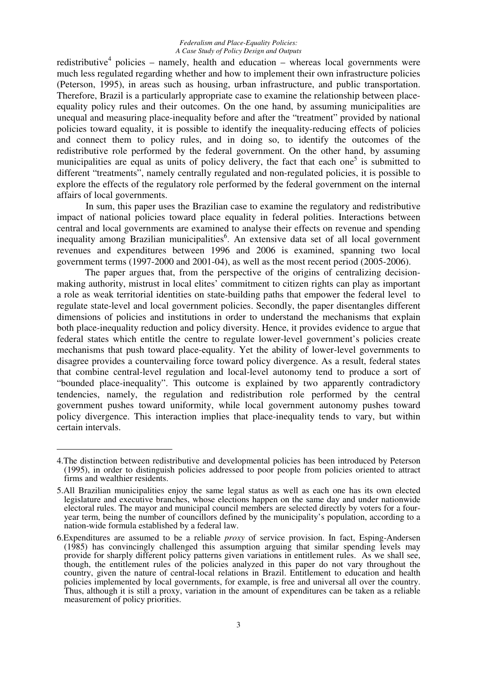redistributive<sup>4</sup> policies – namely, health and education – whereas local governments were much less regulated regarding whether and how to implement their own infrastructure policies (Peterson, 1995), in areas such as housing, urban infrastructure, and public transportation. Therefore, Brazil is a particularly appropriate case to examine the relationship between placeequality policy rules and their outcomes. On the one hand, by assuming municipalities are unequal and measuring place-inequality before and after the "treatment" provided by national policies toward equality, it is possible to identify the inequality-reducing effects of policies and connect them to policy rules, and in doing so, to identify the outcomes of the redistributive role performed by the federal government. On the other hand, by assuming municipalities are equal as units of policy delivery, the fact that each one<sup>5</sup> is submitted to different "treatments", namely centrally regulated and non-regulated policies, it is possible to explore the effects of the regulatory role performed by the federal government on the internal affairs of local governments.

In sum, this paper uses the Brazilian case to examine the regulatory and redistributive impact of national policies toward place equality in federal polities. Interactions between central and local governments are examined to analyse their effects on revenue and spending inequality among Brazilian municipalities 6 . An extensive data set of all local government revenues and expenditures between 1996 and 2006 is examined, spanning two local government terms (1997-2000 and 2001-04), as well as the most recent period (2005-2006).

The paper argues that, from the perspective of the origins of centralizing decisionmaking authority, mistrust in local elites' commitment to citizen rights can play as important a role as weak territorial identities on state-building paths that empower the federal level to regulate state-level and local government policies. Secondly, the paper disentangles different dimensions of policies and institutions in order to understand the mechanisms that explain both place-inequality reduction and policy diversity. Hence, it provides evidence to argue that federal states which entitle the centre to regulate lower-level government's policies create mechanisms that push toward place-equality. Yet the ability of lower-level governments to disagree provides a countervailing force toward policy divergence. As a result, federal states that combine central-level regulation and local-level autonomy tend to produce a sort of "bounded place-inequality". This outcome is explained by two apparently contradictory tendencies, namely, the regulation and redistribution role performed by the central government pushes toward uniformity, while local government autonomy pushes toward policy divergence. This interaction implies that place-inequality tends to vary, but within certain intervals.

<sup>4.</sup>The distinction between redistributive and developmental policies has been introduced by Peterson (1995), in order to distinguish policies addressed to poor people from policies oriented to attract firms and wealthier residents.

<sup>5.</sup>All Brazilian municipalities enjoy the same legal status as well as each one has its own elected legislature and executive branches, whose elections happen on the same day and under nationwide electoral rules. The mayor and municipal council members are selected directly by voters for a fouryear term, being the number of councillors defined by the municipality's population, according to a nation-wide formula established by a federal law.

<sup>6.</sup>Expenditures are assumed to be a reliable *proxy* of service provision. In fact, Esping-Andersen (1985) has convincingly challenged this assumption arguing that similar spending levels may provide for sharply different policy patterns given variations in entitlement rules. As we shall see, though, the entitlement rules of the policies analyzed in this paper do not vary throughout the country, given the nature of central-local relations in Brazil. Entitlement to education and health policies implemented by local governments, for example, is free and universal all over the country. Thus, although it is still a proxy, variation in the amount of expenditures can be taken as a reliable measurement of policy priorities.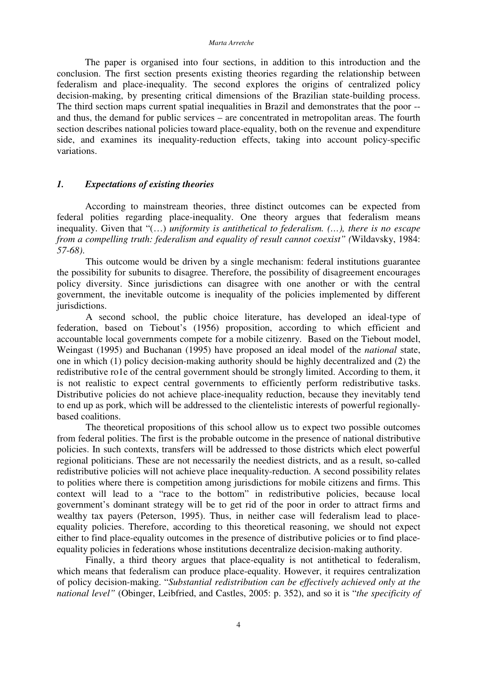The paper is organised into four sections, in addition to this introduction and the conclusion. The first section presents existing theories regarding the relationship between federalism and place-inequality. The second explores the origins of centralized policy decision-making, by presenting critical dimensions of the Brazilian state-building process. The third section maps current spatial inequalities in Brazil and demonstrates that the poor - and thus, the demand for public services – are concentrated in metropolitan areas. The fourth section describes national policies toward place-equality, both on the revenue and expenditure side, and examines its inequality-reduction effects, taking into account policy-specific variations.

# *1. Expectations of existing theories*

According to mainstream theories, three distinct outcomes can be expected from federal polities regarding place-inequality. One theory argues that federalism means inequality. Given that "(…) *uniformity is antithetical to federalism. (…), there is no escape from a compelling truth: federalism and equality of result cannot coexist" (*Wildavsky, 1984: *57-68)*.

This outcome would be driven by a single mechanism: federal institutions guarantee the possibility for subunits to disagree. Therefore, the possibility of disagreement encourages policy diversity. Since jurisdictions can disagree with one another or with the central government, the inevitable outcome is inequality of the policies implemented by different jurisdictions.

A second school, the public choice literature, has developed an ideal-type of federation, based on Tiebout's (1956) proposition, according to which efficient and accountable local governments compete for a mobile citizenry. Based on the Tiebout model, Weingast (1995) and Buchanan (1995) have proposed an ideal model of the *national* state, one in which (1) policy decision-making authority should be highly decentralized and (2) the redistributive ro1e of the central government should be strongly limited. According to them, it is not realistic to expect central governments to efficiently perform redistributive tasks. Distributive policies do not achieve place-inequality reduction, because they inevitably tend to end up as pork, which will be addressed to the clientelistic interests of powerful regionallybased coalitions.

The theoretical propositions of this school allow us to expect two possible outcomes from federal polities. The first is the probable outcome in the presence of national distributive policies. In such contexts, transfers will be addressed to those districts which elect powerful regional politicians. These are not necessarily the neediest districts, and as a result, so-called redistributive policies will not achieve place inequality-reduction. A second possibility relates to polities where there is competition among jurisdictions for mobile citizens and firms. This context will lead to a "race to the bottom" in redistributive policies, because local government's dominant strategy will be to get rid of the poor in order to attract firms and wealthy tax payers (Peterson, 1995). Thus, in neither case will federalism lead to placeequality policies. Therefore, according to this theoretical reasoning, we should not expect either to find place-equality outcomes in the presence of distributive policies or to find placeequality policies in federations whose institutions decentralize decision-making authority.

Finally, a third theory argues that place-equality is not antithetical to federalism, which means that federalism can produce place-equality. However, it requires centralization of policy decision-making. "*Substantial redistribution can be effectively achieved only at the national level"* (Obinger, Leibfried, and Castles, 2005: p. 352), and so it is "*the specificity of*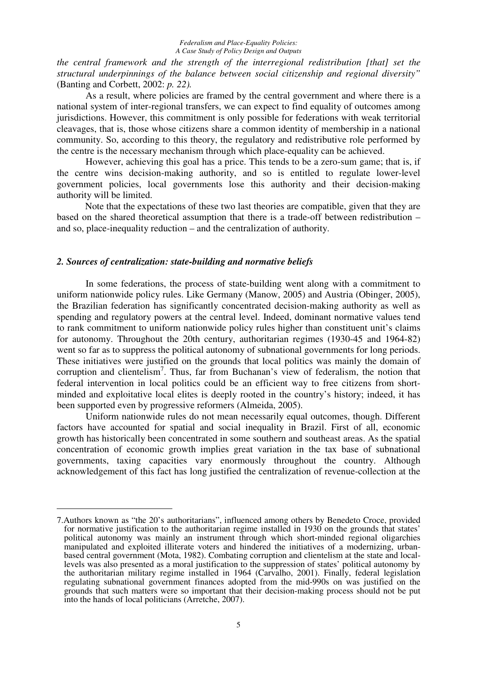*the central framework and the strength of the interregional redistribution [that] set the structural underpinnings of the balance between social citizenship and regional diversity"* (Banting and Corbett, 2002: *p. 22).*

As a result, where policies are framed by the central government and where there is a national system of inter-regional transfers, we can expect to find equality of outcomes among jurisdictions. However, this commitment is only possible for federations with weak territorial cleavages, that is, those whose citizens share a common identity of membership in a national community. So, according to this theory, the regulatory and redistributive role performed by the centre is the necessary mechanism through which place-equality can be achieved.

However, achieving this goal has a price. This tends to be a zero-sum game; that is, if the centre wins decision-making authority, and so is entitled to regulate lower-level government policies, local governments lose this authority and their decision-making authority will be limited.

Note that the expectations of these two last theories are compatible, given that they are based on the shared theoretical assumption that there is a trade-off between redistribution – and so, place-inequality reduction – and the centralization of authority.

# *2. Sources of centralization: state-building and normative beliefs*

In some federations, the process of state-building went along with a commitment to uniform nationwide policy rules. Like Germany (Manow, 2005) and Austria (Obinger, 2005), the Brazilian federation has significantly concentrated decision-making authority as well as spending and regulatory powers at the central level. Indeed, dominant normative values tend to rank commitment to uniform nationwide policy rules higher than constituent unit's claims for autonomy. Throughout the 20th century, authoritarian regimes (1930-45 and 1964-82) went so far as to suppress the political autonomy of subnational governments for long periods. These initiatives were justified on the grounds that local politics was mainly the domain of corruption and clientelism<sup>7</sup>. Thus, far from Buchanan's view of federalism, the notion that federal intervention in local politics could be an efficient way to free citizens from shortminded and exploitative local elites is deeply rooted in the country's history; indeed, it has been supported even by progressive reformers (Almeida, 2005).

Uniform nationwide rules do not mean necessarily equal outcomes, though. Different factors have accounted for spatial and social inequality in Brazil. First of all, economic growth has historically been concentrated in some southern and southeast areas. As the spatial concentration of economic growth implies great variation in the tax base of subnational governments, taxing capacities vary enormously throughout the country. Although acknowledgement of this fact has long justified the centralization of revenue-collection at the

<sup>7.</sup>Authors known as "the 20's authoritarians", influenced among others by Benedeto Croce, provided for normative justification to the authoritarian regime installed in 1930 on the grounds that states' political autonomy was mainly an instrument through which short-minded regional oligarchies manipulated and exploited illiterate voters and hindered the initiatives of a modernizing, urbanbased central government (Mota, 1982). Combating corruption and clientelism at the state and locallevels was also presented as a moral justification to the suppression of states' political autonomy by the authoritarian military regime installed in 1964 (Carvalho, 2001). Finally, federal legislation regulating subnational government finances adopted from the mid-990s on was justified on the grounds that such matters were so important that their decision-making process should not be put into the hands of local politicians (Arretche, 2007).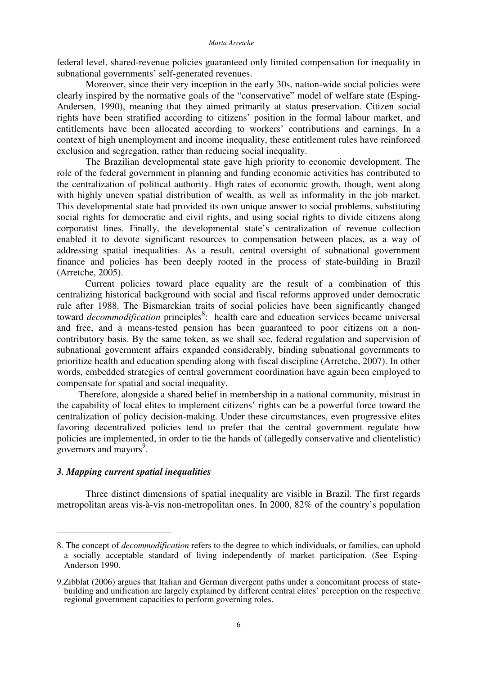federal level, shared-revenue policies guaranteed only limited compensation for inequality in subnational governments' self-generated revenues.

Moreover, since their very inception in the early 30s, nation-wide social policies were clearly inspired by the normative goals of the "conservative" model of welfare state (Esping-Andersen, 1990), meaning that they aimed primarily at status preservation. Citizen social rights have been stratified according to citizens' position in the formal labour market, and entitlements have been allocated according to workers' contributions and earnings. In a context of high unemployment and income inequality, these entitlement rules have reinforced exclusion and segregation, rather than reducing social inequality.

The Brazilian developmental state gave high priority to economic development. The role of the federal government in planning and funding economic activities has contributed to the centralization of political authority. High rates of economic growth, though, went along with highly uneven spatial distribution of wealth, as well as informality in the job market. This developmental state had provided its own unique answer to social problems, substituting social rights for democratic and civil rights, and using social rights to divide citizens along corporatist lines. Finally, the developmental state's centralization of revenue collection enabled it to devote significant resources to compensation between places, as a way of addressing spatial inequalities. As a result, central oversight of subnational government finance and policies has been deeply rooted in the process of state-building in Brazil (Arretche, 2005).

Current policies toward place equality are the result of a combination of this centralizing historical background with social and fiscal reforms approved under democratic rule after 1988. The Bismarckian traits of social policies have been significantly changed toward *decommodification* principles 8 : health care and education services became universal and free, and a means-tested pension has been guaranteed to poor citizens on a noncontributory basis. By the same token, as we shall see, federal regulation and supervision of subnational government affairs expanded considerably, binding subnational governments to prioritize health and education spending along with fiscal discipline (Arretche, 2007). In other words, embedded strategies of central government coordination have again been employed to compensate for spatial and social inequality.

Therefore, alongside a shared belief in membership in a national community, mistrust in the capability of local elites to implement citizens' rights can be a powerful force toward the centralization of policy decision-making. Under these circumstances, even progressive elites favoring decentralized policies tend to prefer that the central government regulate how policies are implemented, in order to tie the hands of (allegedly conservative and clientelistic) governors and mayors<sup>9</sup>.

# *3. Mapping current spatial inequalities*

Three distinct dimensions of spatial inequality are visible in Brazil. The first regards metropolitan areas vis-à-vis non-metropolitan ones. In 2000, 82% of the country's population

<sup>8.</sup> The concept of *decommodification* refers to the degree to which individuals, or families, can uphold a socially acceptable standard of living independently of market participation. (See Esping-Anderson 1990.

<sup>9.</sup>Zibblat (2006) argues that Italian and German divergent paths under a concomitant process of statebuilding and unification are largely explained by different central elites' perception on the respective regional government capacities to perform governing roles.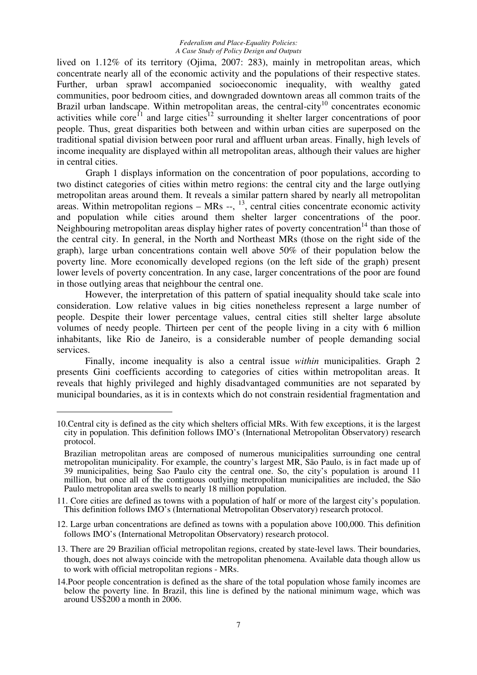lived on 1.12% of its territory (Ojima, 2007: 283), mainly in metropolitan areas, which concentrate nearly all of the economic activity and the populations of their respective states. Further, urban sprawl accompanied socioeconomic inequality, with wealthy gated communities, poor bedroom cities, and downgraded downtown areas all common traits of the Brazil urban landscape. Within metropolitan areas, the central-city<sup>10</sup> concentrates economic activities while core<sup>f1</sup> and large cities<sup>12</sup> surrounding it shelter larger concentrations of poor people. Thus, great disparities both between and within urban cities are superposed on the traditional spatial division between poor rural and affluent urban areas. Finally, high levels of income inequality are displayed within all metropolitan areas, although their values are higher in central cities.

Graph 1 displays information on the concentration of poor populations, according to two distinct categories of cities within metro regions: the central city and the large outlying metropolitan areas around them. It reveals a similar pattern shared by nearly all metropolitan areas. Within metropolitan regions  $-$  MRs  $-$ ,  $^{13}$ , central cities concentrate economic activity and population while cities around them shelter larger concentrations of the poor. Neighbouring metropolitan areas display higher rates of poverty concentration<sup>14</sup> than those of the central city. In general, in the North and Northeast MRs (those on the right side of the graph), large urban concentrations contain well above 50% of their population below the poverty line. More economically developed regions (on the left side of the graph) present lower levels of poverty concentration. In any case, larger concentrations of the poor are found in those outlying areas that neighbour the central one.

However, the interpretation of this pattern of spatial inequality should take scale into consideration. Low relative values in big cities nonetheless represent a large number of people. Despite their lower percentage values, central cities still shelter large absolute volumes of needy people. Thirteen per cent of the people living in a city with 6 million inhabitants, like Rio de Janeiro, is a considerable number of people demanding social services.

Finally, income inequality is also a central issue *within* municipalities. Graph 2 presents Gini coefficients according to categories of cities within metropolitan areas. It reveals that highly privileged and highly disadvantaged communities are not separated by municipal boundaries, as it is in contexts which do not constrain residential fragmentation and

<sup>10.</sup>Central city is defined as the city which shelters official MRs. With few exceptions, it is the largest city in population. This definition follows IMO's (International Metropolitan Observatory) research protocol.

Brazilian metropolitan areas are composed of numerous municipalities surrounding one central metropolitan municipality. For example, the country's largest MR, São Paulo, is in fact made up of 39 municipalities, being Sao Paulo city the central one. So, the city's population is around 11 million, but once all of the contiguous outlying metropolitan municipalities are included, the São Paulo metropolitan area swells to nearly 18 million population.

<sup>11.</sup> Core cities are defined as towns with a population of half or more of the largest city's population. This definition follows IMO's (International Metropolitan Observatory) research protocol.

<sup>12.</sup> Large urban concentrations are defined as towns with a population above 100,000. This definition follows IMO's (International Metropolitan Observatory) research protocol.

<sup>13.</sup> There are 29 Brazilian official metropolitan regions, created by state-level laws. Their boundaries, though, does not always coincide with the metropolitan phenomena. Available data though allow us to work with official metropolitan regions - MRs.

<sup>14.</sup>Poor people concentration is defined as the share of the total population whose family incomes are below the poverty line. In Brazil, this line is defined by the national minimum wage, which was around US\$200 a month in 2006.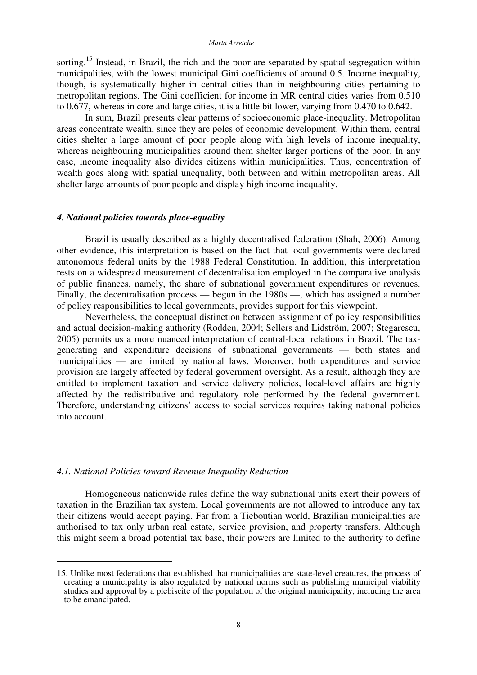sorting.<sup>15</sup> Instead, in Brazil, the rich and the poor are separated by spatial segregation within municipalities, with the lowest municipal Gini coefficients of around 0.5. Income inequality, though, is systematically higher in central cities than in neighbouring cities pertaining to metropolitan regions. The Gini coefficient for income in MR central cities varies from 0.510 to 0.677, whereas in core and large cities, it is a little bit lower, varying from 0.470 to 0.642.

In sum, Brazil presents clear patterns of socioeconomic place-inequality. Metropolitan areas concentrate wealth, since they are poles of economic development. Within them, central cities shelter a large amount of poor people along with high levels of income inequality, whereas neighbouring municipalities around them shelter larger portions of the poor. In any case, income inequality also divides citizens within municipalities. Thus, concentration of wealth goes along with spatial unequality, both between and within metropolitan areas. All shelter large amounts of poor people and display high income inequality.

## *4. National policies towards place-equality*

Brazil is usually described as a highly decentralised federation (Shah, 2006). Among other evidence, this interpretation is based on the fact that local governments were declared autonomous federal units by the 1988 Federal Constitution. In addition, this interpretation rests on a widespread measurement of decentralisation employed in the comparative analysis of public finances, namely, the share of subnational government expenditures or revenues. Finally, the decentralisation process — begun in the 1980s —, which has assigned a number of policy responsibilities to local governments, provides support for this viewpoint.

Nevertheless, the conceptual distinction between assignment of policy responsibilities and actual decision-making authority (Rodden, 2004; Sellers and Lidström, 2007; Stegarescu, 2005) permits us a more nuanced interpretation of central-local relations in Brazil. The taxgenerating and expenditure decisions of subnational governments — both states and municipalities — are limited by national laws. Moreover, both expenditures and service provision are largely affected by federal government oversight. As a result, although they are entitled to implement taxation and service delivery policies, local-level affairs are highly affected by the redistributive and regulatory role performed by the federal government. Therefore, understanding citizens' access to social services requires taking national policies into account.

## *4.1. National Policies toward Revenue Inequality Reduction*

Homogeneous nationwide rules define the way subnational units exert their powers of taxation in the Brazilian tax system. Local governments are not allowed to introduce any tax their citizens would accept paying. Far from a Tieboutian world, Brazilian municipalities are authorised to tax only urban real estate, service provision, and property transfers. Although this might seem a broad potential tax base, their powers are limited to the authority to define

<sup>15.</sup> Unlike most federations that established that municipalities are state-level creatures, the process of creating a municipality is also regulated by national norms such as publishing municipal viability studies and approval by a plebiscite of the population of the original municipality, including the area to be emancipated.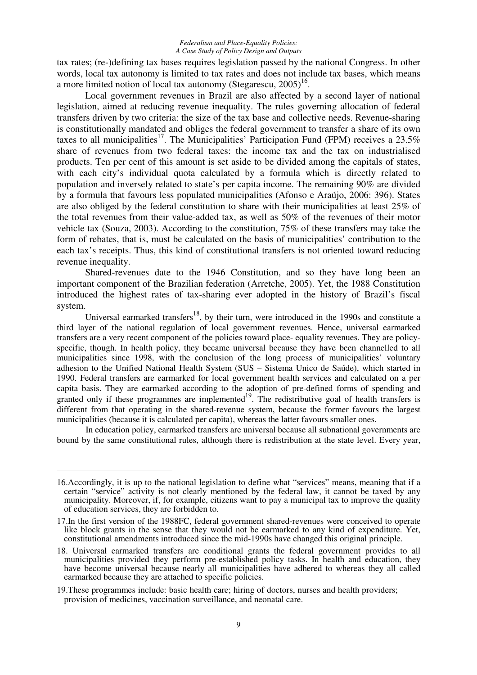tax rates; (re-)defining tax bases requires legislation passed by the national Congress. In other words, local tax autonomy is limited to tax rates and does not include tax bases, which means a more limited notion of local tax autonomy (Stegarescu,  $2005$ )<sup>16</sup>.

Local government revenues in Brazil are also affected by a second layer of national legislation, aimed at reducing revenue inequality. The rules governing allocation of federal transfers driven by two criteria: the size of the tax base and collective needs. Revenue-sharing is constitutionally mandated and obliges the federal government to transfer a share of its own taxes to all municipalities<sup>17</sup>. The Municipalities' Participation Fund (FPM) receives a 23.5% share of revenues from two federal taxes: the income tax and the tax on industrialised products. Ten per cent of this amount is set aside to be divided among the capitals of states, with each city's individual quota calculated by a formula which is directly related to population and inversely related to state's per capita income. The remaining 90% are divided by a formula that favours less populated municipalities (Afonso e Araújo, 2006: 396). States are also obliged by the federal constitution to share with their municipalities at least 25% of the total revenues from their value-added tax, as well as 50% of the revenues of their motor vehicle tax (Souza, 2003). According to the constitution, 75% of these transfers may take the form of rebates, that is, must be calculated on the basis of municipalities' contribution to the each tax's receipts. Thus, this kind of constitutional transfers is not oriented toward reducing revenue inequality.

Shared-revenues date to the 1946 Constitution, and so they have long been an important component of the Brazilian federation (Arretche, 2005). Yet, the 1988 Constitution introduced the highest rates of tax-sharing ever adopted in the history of Brazil's fiscal system.

Universal earmarked transfers<sup>18</sup>, by their turn, were introduced in the 1990s and constitute a third layer of the national regulation of local government revenues. Hence, universal earmarked transfers are a very recent component of the policies toward place- equality revenues. They are policyspecific, though. In health policy, they became universal because they have been channelled to all municipalities since 1998, with the conclusion of the long process of municipalities' voluntary adhesion to the Unified National Health System (SUS – Sistema Unico de Saúde), which started in 1990. Federal transfers are earmarked for local government health services and calculated on a per capita basis. They are earmarked according to the adoption of pre-defined forms of spending and granted only if these programmes are implemented<sup>19</sup>. The redistributive goal of health transfers is different from that operating in the shared-revenue system, because the former favours the largest municipalities (because it is calculated per capita), whereas the latter favours smaller ones.

In education policy, earmarked transfers are universal because all subnational governments are bound by the same constitutional rules, although there is redistribution at the state level. Every year,

<sup>16.</sup>Accordingly, it is up to the national legislation to define what "services" means, meaning that if a certain "service" activity is not clearly mentioned by the federal law, it cannot be taxed by any municipality. Moreover, if, for example, citizens want to pay a municipal tax to improve the quality of education services, they are forbidden to.

<sup>17.</sup>In the first version of the 1988FC, federal government shared-revenues were conceived to operate like block grants in the sense that they would not be earmarked to any kind of expenditure. Yet, constitutional amendments introduced since the mid-1990s have changed this original principle.

<sup>18.</sup> Universal earmarked transfers are conditional grants the federal government provides to all municipalities provided they perform pre-established policy tasks. In health and education, they have become universal because nearly all municipalities have adhered to whereas they all called earmarked because they are attached to specific policies.

<sup>19.</sup>These programmes include: basic health care; hiring of doctors, nurses and health providers; provision of medicines, vaccination surveillance, and neonatal care.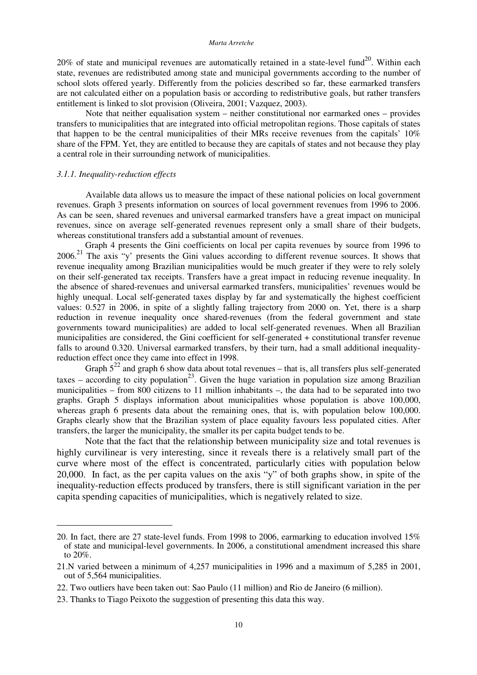20% of state and municipal revenues are automatically retained in a state-level fund<sup>20</sup>. Within each state, revenues are redistributed among state and municipal governments according to the number of school slots offered yearly. Differently from the policies described so far, these earmarked transfers are not calculated either on a population basis or according to redistributive goals, but rather transfers entitlement is linked to slot provision (Oliveira, 2001; Vazquez, 2003).

Note that neither equalisation system – neither constitutional nor earmarked ones – provides transfers to municipalities that are integrated into official metropolitan regions. Those capitals of states that happen to be the central municipalities of their MRs receive revenues from the capitals' 10% share of the FPM. Yet, they are entitled to because they are capitals of states and not because they play a central role in their surrounding network of municipalities.

## *3.1.1. Inequality-reduction effects*

Available data allows us to measure the impact of these national policies on local government revenues. Graph 3 presents information on sources of local government revenues from 1996 to 2006. As can be seen, shared revenues and universal earmarked transfers have a great impact on municipal revenues, since on average self-generated revenues represent only a small share of their budgets, whereas constitutional transfers add a substantial amount of revenues.

Graph 4 presents the Gini coefficients on local per capita revenues by source from 1996 to 2006.<sup>21</sup> The axis "y' presents the Gini values according to different revenue sources. It shows that revenue inequality among Brazilian municipalities would be much greater if they were to rely solely on their self-generated tax receipts. Transfers have a great impact in reducing revenue inequality. In the absence of shared-revenues and universal earmarked transfers, municipalities' revenues would be highly unequal. Local self-generated taxes display by far and systematically the highest coefficient values: 0.527 in 2006, in spite of a slightly falling trajectory from 2000 on. Yet, there is a sharp reduction in revenue inequality once shared-revenues (from the federal government and state governments toward municipalities) are added to local self-generated revenues. When all Brazilian municipalities are considered, the Gini coefficient for self-generated + constitutional transfer revenue falls to around 0.320. Universal earmarked transfers, by their turn, had a small additional inequalityreduction effect once they came into effect in 1998.

Graph  $5^{22}$  and graph 6 show data about total revenues – that is, all transfers plus self-generated taxes – according to city population<sup>23</sup>. Given the huge variation in population size among Brazilian municipalities – from 800 citizens to 11 million inhabitants –, the data had to be separated into two graphs. Graph 5 displays information about municipalities whose population is above 100,000, whereas graph 6 presents data about the remaining ones, that is, with population below 100,000. Graphs clearly show that the Brazilian system of place equality favours less populated cities. After transfers, the larger the municipality, the smaller its per capita budget tends to be.

Note that the fact that the relationship between municipality size and total revenues is highly curvilinear is very interesting, since it reveals there is a relatively small part of the curve where most of the effect is concentrated, particularly cities with population below 20,000. In fact, as the per capita values on the axis "y" of both graphs show, in spite of the inequality-reduction effects produced by transfers, there is still significant variation in the per capita spending capacities of municipalities, which is negatively related to size.

<sup>20.</sup> In fact, there are 27 state-level funds. From 1998 to 2006, earmarking to education involved 15% of state and municipal-level governments. In 2006, a constitutional amendment increased this share to 20%.

<sup>21.</sup>N varied between a minimum of 4,257 municipalities in 1996 and a maximum of 5,285 in 2001, out of 5,564 municipalities.

<sup>22.</sup> Two outliers have been taken out: Sao Paulo (11 million) and Rio de Janeiro (6 million).

<sup>23.</sup> Thanks to Tiago Peixoto the suggestion of presenting this data this way.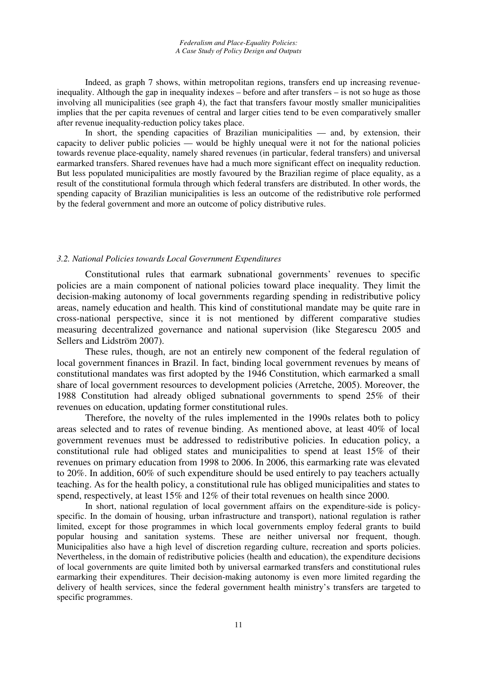Indeed, as graph 7 shows, within metropolitan regions, transfers end up increasing revenueinequality. Although the gap in inequality indexes – before and after transfers – is not so huge as those involving all municipalities (see graph 4), the fact that transfers favour mostly smaller municipalities implies that the per capita revenues of central and larger cities tend to be even comparatively smaller after revenue inequality-reduction policy takes place.

In short, the spending capacities of Brazilian municipalities — and, by extension, their capacity to deliver public policies — would be highly unequal were it not for the national policies towards revenue place-equality, namely shared revenues (in particular, federal transfers) and universal earmarked transfers. Shared revenues have had a much more significant effect on inequality reduction. But less populated municipalities are mostly favoured by the Brazilian regime of place equality, as a result of the constitutional formula through which federal transfers are distributed. In other words, the spending capacity of Brazilian municipalities is less an outcome of the redistributive role performed by the federal government and more an outcome of policy distributive rules.

## *3.2. National Policies towards Local Government Expenditures*

Constitutional rules that earmark subnational governments' revenues to specific policies are a main component of national policies toward place inequality. They limit the decision-making autonomy of local governments regarding spending in redistributive policy areas, namely education and health. This kind of constitutional mandate may be quite rare in cross-national perspective, since it is not mentioned by different comparative studies measuring decentralized governance and national supervision (like Stegarescu 2005 and Sellers and Lidström 2007).

These rules, though, are not an entirely new component of the federal regulation of local government finances in Brazil. In fact, binding local government revenues by means of constitutional mandates was first adopted by the 1946 Constitution, which earmarked a small share of local government resources to development policies (Arretche, 2005). Moreover, the 1988 Constitution had already obliged subnational governments to spend 25% of their revenues on education, updating former constitutional rules.

Therefore, the novelty of the rules implemented in the 1990s relates both to policy areas selected and to rates of revenue binding. As mentioned above, at least 40% of local government revenues must be addressed to redistributive policies. In education policy, a constitutional rule had obliged states and municipalities to spend at least 15% of their revenues on primary education from 1998 to 2006. In 2006, this earmarking rate was elevated to 20%. In addition, 60% of such expenditure should be used entirely to pay teachers actually teaching. As for the health policy, a constitutional rule has obliged municipalities and states to spend, respectively, at least 15% and 12% of their total revenues on health since 2000.

In short, national regulation of local government affairs on the expenditure-side is policyspecific. In the domain of housing, urban infrastructure and transport), national regulation is rather limited, except for those programmes in which local governments employ federal grants to build popular housing and sanitation systems. These are neither universal nor frequent, though. Municipalities also have a high level of discretion regarding culture, recreation and sports policies. Nevertheless, in the domain of redistributive policies (health and education), the expenditure decisions of local governments are quite limited both by universal earmarked transfers and constitutional rules earmarking their expenditures. Their decision-making autonomy is even more limited regarding the delivery of health services, since the federal government health ministry's transfers are targeted to specific programmes.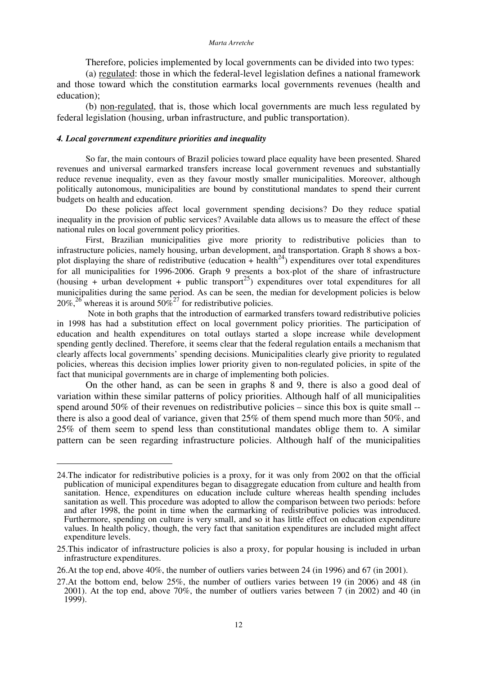Therefore, policies implemented by local governments can be divided into two types:

(a) regulated: those in which the federal-level legislation defines a national framework and those toward which the constitution earmarks local governments revenues (health and education);

(b) non-regulated, that is, those which local governments are much less regulated by federal legislation (housing, urban infrastructure, and public transportation).

# *4. Local government expenditure priorities and inequality*

So far, the main contours of Brazil policies toward place equality have been presented. Shared revenues and universal earmarked transfers increase local government revenues and substantially reduce revenue inequality, even as they favour mostly smaller municipalities. Moreover, although politically autonomous, municipalities are bound by constitutional mandates to spend their current budgets on health and education.

Do these policies affect local government spending decisions? Do they reduce spatial inequality in the provision of public services? Available data allows us to measure the effect of these national rules on local government policy priorities.

First, Brazilian municipalities give more priority to redistributive policies than to infrastructure policies, namely housing, urban development, and transportation. Graph 8 shows a boxplot displaying the share of redistributive (education + health<sup>24</sup>) expenditures over total expenditures for all municipalities for 1996-2006. Graph 9 presents a box-plot of the share of infrastructure (housing + urban development + public transport<sup>25</sup>) expenditures over total expenditures for all municipalities during the same period. As can be seen, the median for development policies is below 20%,<sup>26</sup> whereas it is around  $50\%^{27}$  for redistributive policies.

Note in both graphs that the introduction of earmarked transfers toward redistributive policies in 1998 has had a substitution effect on local government policy priorities. The participation of education and health expenditures on total outlays started a slope increase while development spending gently declined. Therefore, it seems clear that the federal regulation entails a mechanism that clearly affects local governments' spending decisions. Municipalities clearly give priority to regulated policies, whereas this decision implies lower priority given to non-regulated policies, in spite of the fact that municipal governments are in charge of implementing both policies.

On the other hand, as can be seen in graphs 8 and 9, there is also a good deal of variation within these similar patterns of policy priorities. Although half of all municipalities spend around 50% of their revenues on redistributive policies – since this box is quite small - there is also a good deal of variance, given that 25% of them spend much more than 50%, and 25% of them seem to spend less than constitutional mandates oblige them to. A similar pattern can be seen regarding infrastructure policies. Although half of the municipalities

<sup>24.</sup>The indicator for redistributive policies is a proxy, for it was only from 2002 on that the official publication of municipal expenditures began to disaggregate education from culture and health from sanitation. Hence, expenditures on education include culture whereas health spending includes sanitation as well. This procedure was adopted to allow the comparison between two periods: before and after 1998, the point in time when the earmarking of redistributive policies was introduced. Furthermore, spending on culture is very small, and so it has little effect on education expenditure values. In health policy, though, the very fact that sanitation expenditures are included might affect expenditure levels.

<sup>25.</sup>This indicator of infrastructure policies is also a proxy, for popular housing is included in urban infrastructure expenditures.

<sup>26.</sup>At the top end, above 40%, the number of outliers varies between 24 (in 1996) and 67 (in 2001).

<sup>27.</sup>At the bottom end, below 25%, the number of outliers varies between 19 (in 2006) and 48 (in 2001). At the top end, above 70%, the number of outliers varies between 7 (in 2002) and 40 (in 1999).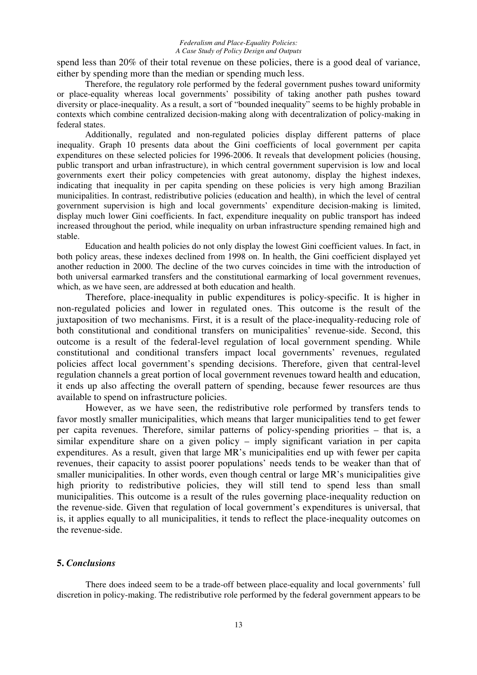spend less than 20% of their total revenue on these policies, there is a good deal of variance, either by spending more than the median or spending much less.

Therefore, the regulatory role performed by the federal government pushes toward uniformity or place-equality whereas local governments' possibility of taking another path pushes toward diversity or place-inequality. As a result, a sort of "bounded inequality" seems to be highly probable in contexts which combine centralized decision-making along with decentralization of policy-making in federal states.

Additionally, regulated and non-regulated policies display different patterns of place inequality. Graph 10 presents data about the Gini coefficients of local government per capita expenditures on these selected policies for 1996-2006. It reveals that development policies (housing, public transport and urban infrastructure), in which central government supervision is low and local governments exert their policy competencies with great autonomy, display the highest indexes, indicating that inequality in per capita spending on these policies is very high among Brazilian municipalities. In contrast, redistributive policies (education and health), in which the level of central government supervision is high and local governments' expenditure decision-making is limited, display much lower Gini coefficients. In fact, expenditure inequality on public transport has indeed increased throughout the period, while inequality on urban infrastructure spending remained high and stable.

Education and health policies do not only display the lowest Gini coefficient values. In fact, in both policy areas, these indexes declined from 1998 on. In health, the Gini coefficient displayed yet another reduction in 2000. The decline of the two curves coincides in time with the introduction of both universal earmarked transfers and the constitutional earmarking of local government revenues, which, as we have seen, are addressed at both education and health.

Therefore, place-inequality in public expenditures is policy-specific. It is higher in non-regulated policies and lower in regulated ones. This outcome is the result of the juxtaposition of two mechanisms. First, it is a result of the place-inequality-reducing role of both constitutional and conditional transfers on municipalities' revenue-side. Second, this outcome is a result of the federal-level regulation of local government spending. While constitutional and conditional transfers impact local governments' revenues, regulated policies affect local government's spending decisions. Therefore, given that central-level regulation channels a great portion of local government revenues toward health and education, it ends up also affecting the overall pattern of spending, because fewer resources are thus available to spend on infrastructure policies.

However, as we have seen, the redistributive role performed by transfers tends to favor mostly smaller municipalities, which means that larger municipalities tend to get fewer per capita revenues. Therefore, similar patterns of policy-spending priorities – that is, a similar expenditure share on a given policy – imply significant variation in per capita expenditures. As a result, given that large MR's municipalities end up with fewer per capita revenues, their capacity to assist poorer populations' needs tends to be weaker than that of smaller municipalities. In other words, even though central or large MR's municipalities give high priority to redistributive policies, they will still tend to spend less than small municipalities. This outcome is a result of the rules governing place-inequality reduction on the revenue-side. Given that regulation of local government's expenditures is universal, that is, it applies equally to all municipalities, it tends to reflect the place-inequality outcomes on the revenue-side.

# **5.** *Conclusions*

There does indeed seem to be a trade-off between place-equality and local governments' full discretion in policy-making. The redistributive role performed by the federal government appears to be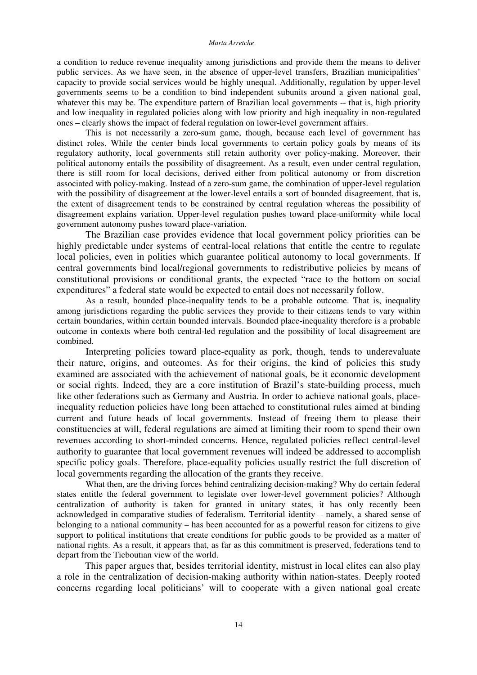a condition to reduce revenue inequality among jurisdictions and provide them the means to deliver public services. As we have seen, in the absence of upper-level transfers, Brazilian municipalities' capacity to provide social services would be highly unequal. Additionally, regulation by upper-level governments seems to be a condition to bind independent subunits around a given national goal, whatever this may be. The expenditure pattern of Brazilian local governments -- that is, high priority and low inequality in regulated policies along with low priority and high inequality in non-regulated ones – clearly shows the impact of federal regulation on lower-level government affairs.

This is not necessarily a zero-sum game, though, because each level of government has distinct roles. While the center binds local governments to certain policy goals by means of its regulatory authority, local governments still retain authority over policy-making. Moreover, their political autonomy entails the possibility of disagreement. As a result, even under central regulation, there is still room for local decisions, derived either from political autonomy or from discretion associated with policy-making. Instead of a zero-sum game, the combination of upper-level regulation with the possibility of disagreement at the lower-level entails a sort of bounded disagreement, that is, the extent of disagreement tends to be constrained by central regulation whereas the possibility of disagreement explains variation. Upper-level regulation pushes toward place-uniformity while local government autonomy pushes toward place-variation.

The Brazilian case provides evidence that local government policy priorities can be highly predictable under systems of central-local relations that entitle the centre to regulate local policies, even in polities which guarantee political autonomy to local governments. If central governments bind local/regional governments to redistributive policies by means of constitutional provisions or conditional grants, the expected "race to the bottom on social expenditures" a federal state would be expected to entail does not necessarily follow.

As a result, bounded place-inequality tends to be a probable outcome. That is, inequality among jurisdictions regarding the public services they provide to their citizens tends to vary within certain boundaries, within certain bounded intervals. Bounded place-inequality therefore is a probable outcome in contexts where both central-led regulation and the possibility of local disagreement are combined.

Interpreting policies toward place-equality as pork, though, tends to underevaluate their nature, origins, and outcomes. As for their origins, the kind of policies this study examined are associated with the achievement of national goals, be it economic development or social rights. Indeed, they are a core institution of Brazil's state-building process, much like other federations such as Germany and Austria. In order to achieve national goals, placeinequality reduction policies have long been attached to constitutional rules aimed at binding current and future heads of local governments. Instead of freeing them to please their constituencies at will, federal regulations are aimed at limiting their room to spend their own revenues according to short-minded concerns. Hence, regulated policies reflect central-level authority to guarantee that local government revenues will indeed be addressed to accomplish specific policy goals. Therefore, place-equality policies usually restrict the full discretion of local governments regarding the allocation of the grants they receive.

What then, are the driving forces behind centralizing decision-making? Why do certain federal states entitle the federal government to legislate over lower-level government policies? Although centralization of authority is taken for granted in unitary states, it has only recently been acknowledged in comparative studies of federalism. Territorial identity – namely, a shared sense of belonging to a national community – has been accounted for as a powerful reason for citizens to give support to political institutions that create conditions for public goods to be provided as a matter of national rights. As a result, it appears that, as far as this commitment is preserved, federations tend to depart from the Tieboutian view of the world.

This paper argues that, besides territorial identity, mistrust in local elites can also play a role in the centralization of decision-making authority within nation-states. Deeply rooted concerns regarding local politicians' will to cooperate with a given national goal create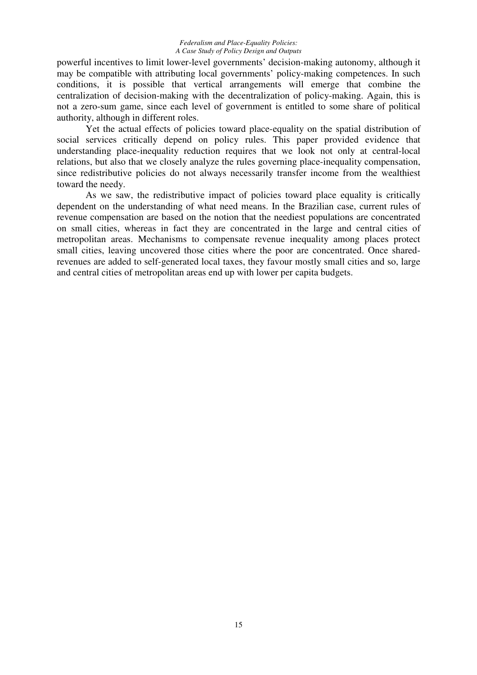powerful incentives to limit lower-level governments' decision-making autonomy, although it may be compatible with attributing local governments' policy-making competences. In such conditions, it is possible that vertical arrangements will emerge that combine the centralization of decision-making with the decentralization of policy-making. Again, this is not a zero-sum game, since each level of government is entitled to some share of political authority, although in different roles.

Yet the actual effects of policies toward place-equality on the spatial distribution of social services critically depend on policy rules. This paper provided evidence that understanding place-inequality reduction requires that we look not only at central-local relations, but also that we closely analyze the rules governing place-inequality compensation, since redistributive policies do not always necessarily transfer income from the wealthiest toward the needy.

As we saw, the redistributive impact of policies toward place equality is critically dependent on the understanding of what need means. In the Brazilian case, current rules of revenue compensation are based on the notion that the neediest populations are concentrated on small cities, whereas in fact they are concentrated in the large and central cities of metropolitan areas. Mechanisms to compensate revenue inequality among places protect small cities, leaving uncovered those cities where the poor are concentrated. Once sharedrevenues are added to self-generated local taxes, they favour mostly small cities and so, large and central cities of metropolitan areas end up with lower per capita budgets.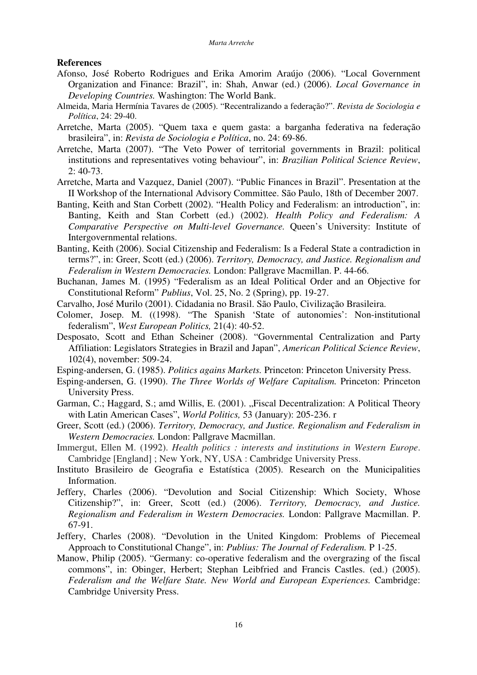# **References**

- Afonso, José Roberto Rodrigues and Erika Amorim Araújo (2006). "Local Government Organization and Finance: Brazil", in: Shah, Anwar (ed.) (2006). *Local Governance in Developing Countries.* Washington: The World Bank.
- Almeida, Maria Hermínia Tavares de (2005). "Recentralizando a federação?". *Revista de Sociologia e Política*, 24: 29-40.
- Arretche, Marta (2005). "Quem taxa e quem gasta: a barganha federativa na federação brasileira", in: *Revista de Sociologia e Política*, no. 24: 69-86.
- Arretche, Marta (2007). "The Veto Power of territorial governments in Brazil: political institutions and representatives voting behaviour", in: *Brazilian Political Science Review*, 2: 40-73.
- Arretche, Marta and Vazquez, Daniel (2007). "Public Finances in Brazil". Presentation at the II Workshop of the International Advisory Committee. São Paulo, 18th of December 2007.
- Banting, Keith and Stan Corbett (2002). "Health Policy and Federalism: an introduction", in: Banting, Keith and Stan Corbett (ed.) (2002). *Health Policy and Federalism: A Comparative Perspective on Multi-level Governance.* Queen's University: Institute of Intergovernmental relations.
- Banting, Keith (2006). Social Citizenship and Federalism: Is a Federal State a contradiction in terms?", in: Greer, Scott (ed.) (2006). *Territory, Democracy, and Justice. Regionalism and Federalism in Western Democracies.* London: Pallgrave Macmillan. P. 44-66.
- Buchanan, James M. (1995) "Federalism as an Ideal Political Order and an Objective for Constitutional Reform" *Publius*, Vol. 25, No. 2 (Spring), pp. 19-27.
- Carvalho, José Murilo (2001). Cidadania no Brasil. São Paulo, Civilização Brasileira.
- Colomer, Josep. M. ((1998). "The Spanish 'State of autonomies': Non-institutional federalism", *West European Politics,* 21(4): 40-52.
- Desposato, Scott and Ethan Scheiner (2008). "Governmental Centralization and Party Affiliation: Legislators Strategies in Brazil and Japan", *American Political Science Review*, 102(4), november: 509-24.
- Esping-andersen, G. (1985). *Politics agains Markets.* Princeton: Princeton University Press.
- Esping-andersen, G. (1990). *The Three Worlds of Welfare Capitalism.* Princeton: Princeton University Press.
- Garman, C.; Haggard, S.; amd Willis, E. (2001). "Fiscal Decentralization: A Political Theory with Latin American Cases", *World Politics,* 53 (January): 205-236. r
- Greer, Scott (ed.) (2006). *Territory, Democracy, and Justice. Regionalism and Federalism in Western Democracies.* London: Pallgrave Macmillan.
- Immergut, Ellen M. (1992). *Health politics : interests and institutions in Western Europe*. Cambridge [England] ; New York, NY, USA : Cambridge University Press.
- Instituto Brasileiro de Geografia e Estatística (2005). Research on the Municipalities Information.
- Jeffery, Charles (2006). "Devolution and Social Citizenship: Which Society, Whose Citizenship?", in: Greer, Scott (ed.) (2006). *Territory, Democracy, and Justice. Regionalism and Federalism in Western Democracies.* London: Pallgrave Macmillan. P. 67-91.
- Jeffery, Charles (2008). "Devolution in the United Kingdom: Problems of Piecemeal Approach to Constitutional Change", in: *Publius: The Journal of Federalism.* P 1-25.
- Manow, Philip (2005). "Germany: co-operative federalism and the overgrazing of the fiscal commons", in: Obinger, Herbert; Stephan Leibfried and Francis Castles. (ed.) (2005). *Federalism and the Welfare State. New World and European Experiences.* Cambridge: Cambridge University Press.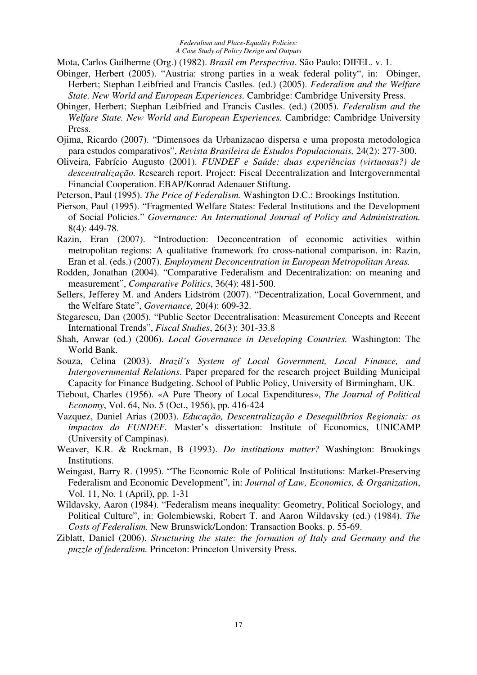Mota, Carlos Guilherme (Org.) (1982). *Brasil em Perspectiva*. São Paulo: DIFEL. v. 1.

- Obinger, Herbert (2005). "Austria: strong parties in a weak federal polity", in: Obinger, Herbert; Stephan Leibfried and Francis Castles. (ed.) (2005). *Federalism and the Welfare State. New World and European Experiences.* Cambridge: Cambridge University Press.
- Obinger, Herbert; Stephan Leibfried and Francis Castles. (ed.) (2005). *Federalism and the Welfare State. New World and European Experiences.* Cambridge: Cambridge University Press.
- Ojima, Ricardo (2007). "Dimensoes da Urbanizacao dispersa e uma proposta metodologica para estudos comparativos", *Revista Brasileira de Estudos Populacionais,* 24(2): 277-300.
- Oliveira, Fabrício Augusto (2001). *FUNDEF e Saúde: duas experiências (virtuosas?) de descentralização.* Research report. Project: Fiscal Decentralization and Intergovernmental Financial Cooperation. EBAP/Konrad Adenauer Stiftung.
- Peterson, Paul (1995). *The Price of Federalism.* Washington D.C.: Brookings Institution.
- Pierson, Paul (1995). "Fragmented Welfare States: Federal Institutions and the Development of Social Policies." *Governance: An International Journal of Policy and Administration.* 8(4): 449-78.
- Razin, Eran (2007). "Introduction: Deconcentration of economic activities within metropolitan regions: A qualitative framework fro cross-national comparison, in: Razin, Eran et al. (eds.) (2007). *Employment Deconcentration in European Metropolitan Areas.*
- Rodden, Jonathan (2004). "Comparative Federalism and Decentralization: on meaning and measurement", *Comparative Politics*, 36(4): 481-500.
- Sellers, Jefferey M. and Anders Lidström (2007). "Decentralization, Local Government, and the Welfare State", *Governance,* 20(4): 609-32.
- Stegarescu, Dan (2005). "Public Sector Decentralisation: Measurement Concepts and Recent International Trends", *Fiscal Studies*, 26(3): 301-33.8
- Shah, Anwar (ed.) (2006). *Local Governance in Developing Countries.* Washington: The World Bank.
- Souza, Celina (2003). *Brazil's System of Local Government, Local Finance, and Intergovernmental Relations*. Paper prepared for the research project Building Municipal Capacity for Finance Budgeting. School of Public Policy, University of Birmingham, UK.
- Tiebout, Charles (1956). «A Pure Theory of Local Expenditures», *The Journal of Political Economy*, Vol. 64, No. 5 (Oct., 1956), pp. 416-424
- Vazquez, Daniel Arias (2003). *Educação, Descentralização e Desequilíbrios Regionais: os impactos do FUNDEF.* Master's dissertation: Institute of Economics, UNICAMP (University of Campinas).
- Weaver, K.R. & Rockman, B (1993). *Do institutions matter?* Washington: Brookings Institutions.
- Weingast, Barry R. (1995). "The Economic Role of Political Institutions: Market-Preserving Federalism and Economic Development", in: *Journal of Law, Economics, & Organization*, Vol. 11, No. 1 (April), pp. 1-31
- Wildavsky, Aaron (1984). "Federalism means inequality: Geometry, Political Sociology, and Political Culture", in: Golembiewski, Robert T. and Aaron Wildavsky (ed.) (1984). *The Costs of Federalism.* New Brunswick/London: Transaction Books. p. 55-69.
- Ziblatt, Daniel (2006). *Structuring the state: the formation of Italy and Germany and the puzzle of federalism.* Princeton: Princeton University Press.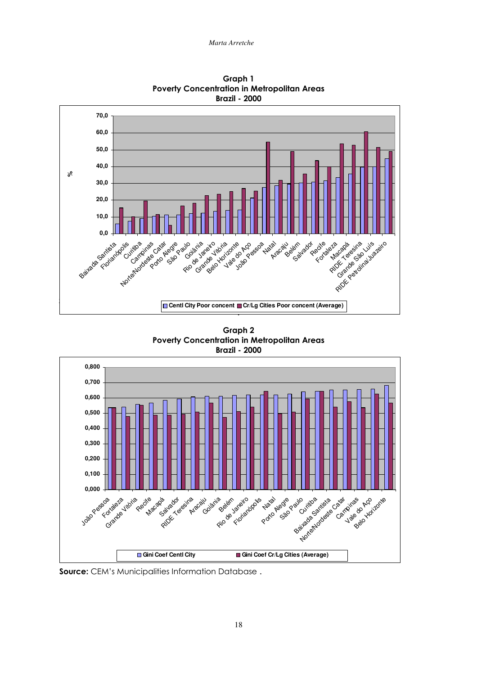

Graph 1 Poverty Concentration in Metropolitan Areas Brazil - 2000

Graph 2 Poverty Concentration in Metropolitan Areas Brazil - 2000



Source: CEM's Municipalities Information Database.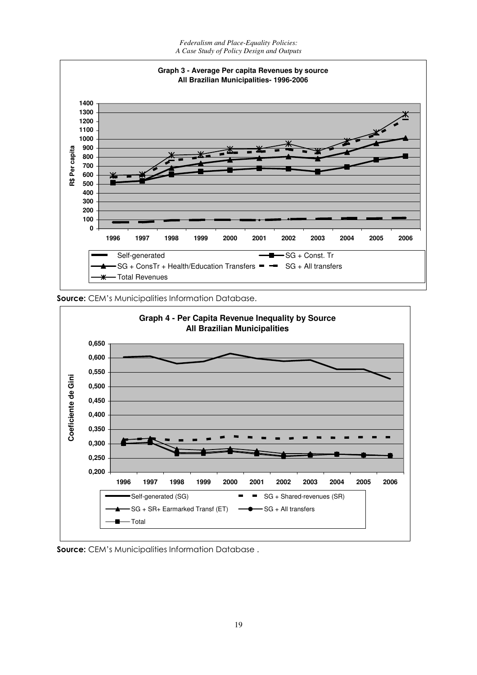

**Source:** CEM's Municipalities Information Database.

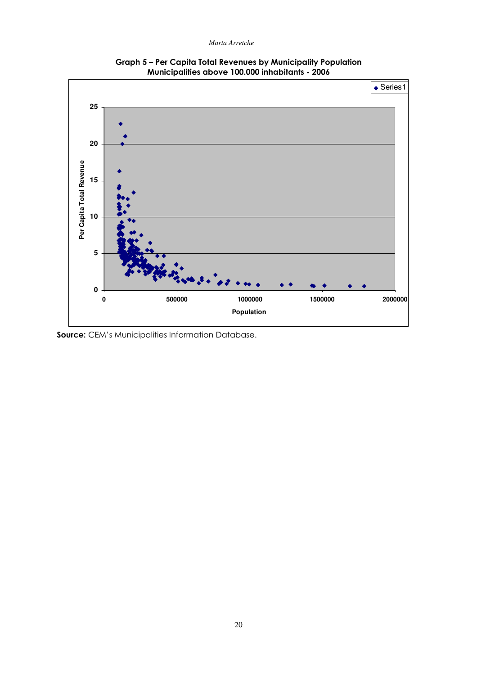

Graph 5 - Per Capita Total Revenues by Municipality Population Municipalities above 100.000 inhabitants - 2006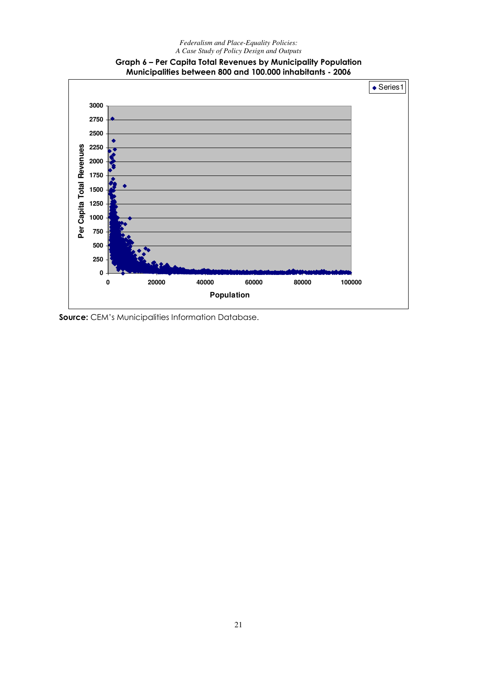

# Graph 6 - Per Capita Total Revenues by Municipality Population Municipalities between 800 and 100.000 inhabitants - 2006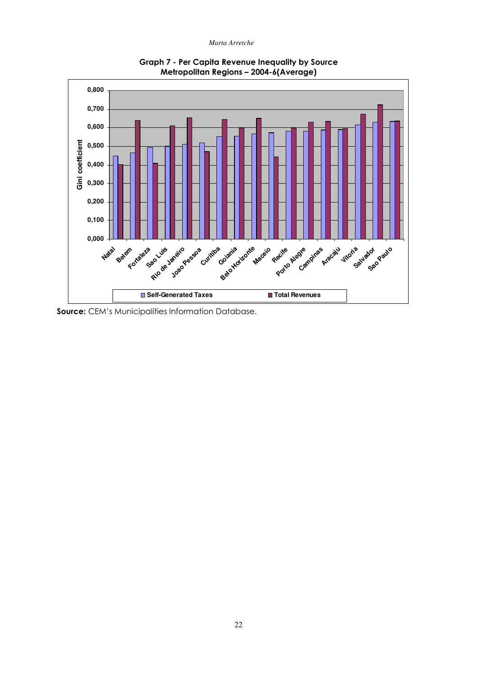

**Graph 7 - Per Capita Revenue Inequality by Source** Metropolitan Regions - 2004-6(Average)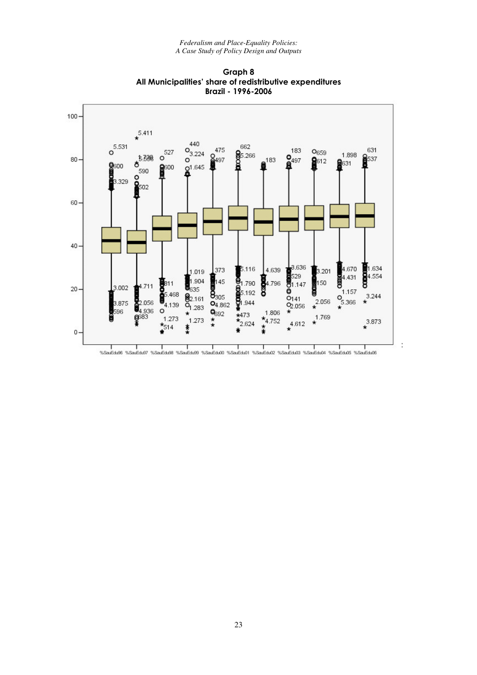

Graph 8 All Municipalities' share of redistributive expenditures Brazil - 1996-2006

 $\frac{1}{2}$ 

<sup>%</sup>SauEdu98 %SauEdu97 %SauEdu98 %SauEdu99 %SauEdu01 %SauEdu01 %SauEdu02 %SauEdu03 %SauEdu05 %SauEdu06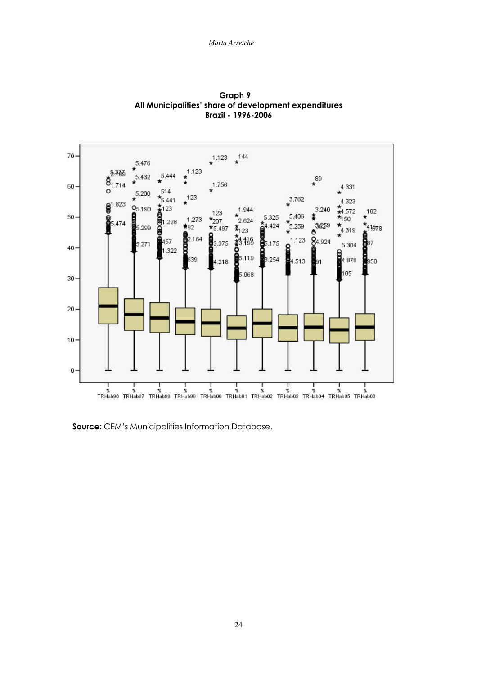

Graph 9 All Municipalities' share of development expenditures Brazil - 1996-2006